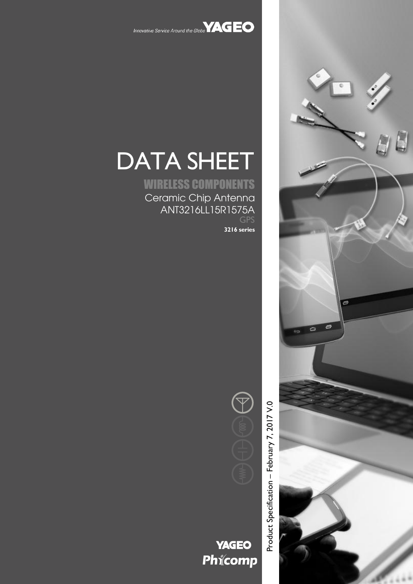

# DATA SHEET

WIRELESS COMPONENTS Ceramic Chip Antenna ANT3216LL15R1575A GPS

**3216 series**



**YAGEO** Phicomp Product Specification – February 7, 2017 V.0

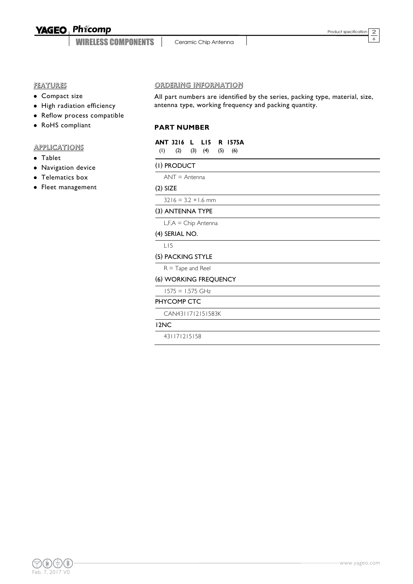WIRELESS COMPONENTS

Ceramic Chip Antenna

2 6

# FEATURES

- Compact size
- High radiation efficiency
- Reflow process compatible
- RoHS compliant

# **APPLICATIONS**

- Tablet
- Navigation device
- Telematics box
- Fleet management

#### ORDERING INFORMATION

All part numbers are identified by the series, packing type, material, size, antenna type, working frequency and packing quantity.

### **PART NUMBER**

|                                     |  | ANT 3216 L LI5 R 1575A |
|-------------------------------------|--|------------------------|
| $(1)$ $(2)$ $(3)$ $(4)$ $(5)$ $(6)$ |  |                        |

#### (1) PRODUCT

ANT = Antenna

#### (2) SIZE

 $3216 = 3.2 \times 1.6$  mm

## (3) ANTENNA TYPE

L,F,A = Chip Antenna

#### (4) SERIAL NO.

L15

#### (5) PACKING STYLE

 $R =$  Tape and Reel

#### (6) WORKING FREQUENCY

## 1575 = 1.575 GHz PHYCOMP CTC

CAN4311712151583K

#### 12NC

431171215158

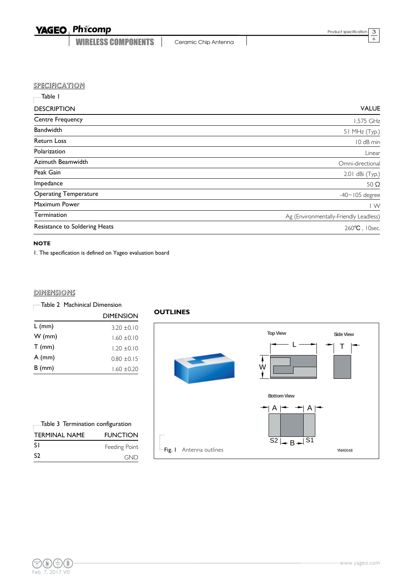WIRELESS COMPONENTS | Ceramic Chip Antenna

3 6

#### **SPECIFICATION**

| -Table I                      |                                        |
|-------------------------------|----------------------------------------|
| <b>DESCRIPTION</b>            | <b>VALUE</b>                           |
| <b>Centre Frequency</b>       | 1.575 GHz                              |
| Bandwidth                     | 51 MHz (Typ.)                          |
| <b>Return Loss</b>            | 10 dB min                              |
| Polarization                  | Linear                                 |
| Azimuth Beamwidth             | Omni-directional                       |
| Peak Gain                     | 2.01 dBi (Typ.)                        |
| Impedance                     | 50 $\Omega$                            |
| <b>Operating Temperature</b>  | $-40$ ~ $105$ degree                   |
| Maximum Power                 | $\mathsf{I} \mathsf{W}$                |
| Termination                   | Ag (Environmentally-Friendly Leadless) |
| Resistance to Soldering Heats | 260°C, 10sec.                          |
|                               |                                        |

#### **NOTE**

1. The specification is defined on Yageo evaluation board

#### **DIMENSIONS**

|          | <b>DIMENSION</b> |
|----------|------------------|
| $L$ (mm) | $3.20 + 0.10$    |
| $W$ (mm) | $1.60 \pm 0.10$  |
| $T$ (mm) | $1.20 \pm 0.10$  |
| $A$ (mm) | $0.80 \pm 0.15$  |
| $B$ (mm) | $1.60 + 0.20$    |

| Table 3 Termination configuration |                 |
|-----------------------------------|-----------------|
| <b>TERMINAL NAME</b>              | <b>FUNCTION</b> |
| -S I                              | Feeding Point   |
| S <sub>2</sub>                    | GND             |

#### **OUTLINES**



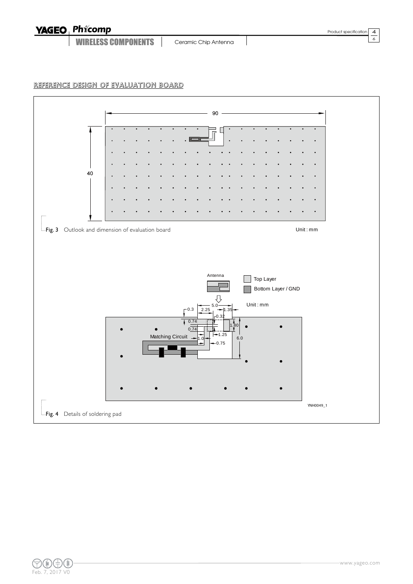WIRELESS COMPONENTS | Ceramic Chip Antenna

4 6



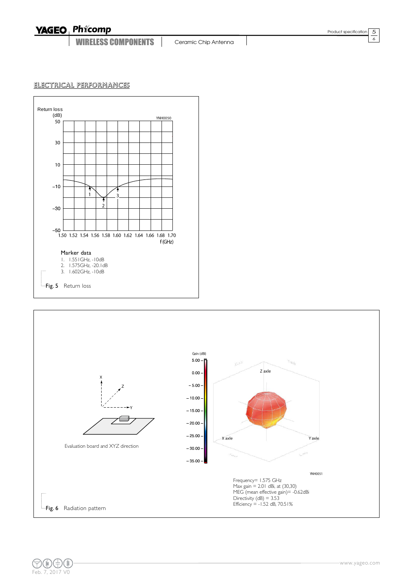WIRELESS COMPONENTS

Ceramic Chip Antenna

5 6

# ELECTRICAL PERFORMANCES